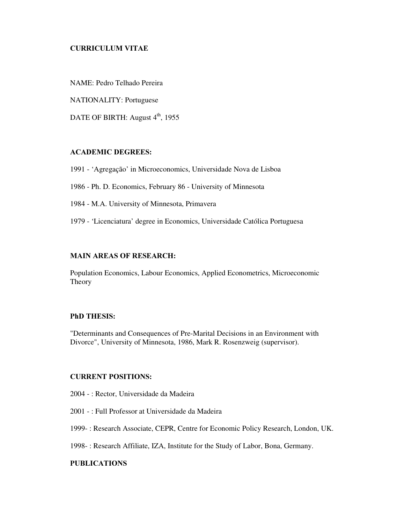# **CURRICULUM VITAE**

NAME: Pedro Telhado Pereira

NATIONALITY: Portuguese

DATE OF BIRTH: August 4<sup>th</sup>, 1955

### ACADEMIC DEGREES:

1991 - 'Agregação' in Microeconomics, Universidade Nova de Lisboa

1986 - Ph. D. Economics, February 86 - University of Minnesota

1984 - M.A. University of Minnesota, Primavera

1979 - 'Licenciatura' degree in Economics, Universidade Católica Portuguesa

## MAIN AREAS OF RESEARCH:

Population Economics, Labour Economics, Applied Econometrics, Microeconomic Theory

## PhD THESIS:

"Determinants and Consequences of Pre-Marital Decisions in an Environment with Divorce", University of Minnesota, 1986, Mark R. Rosenzweig (supervisor).

## **CURRENT POSITIONS:**

2004 - : Rector, Universidade da Madeira

2001 - : Full Professor at Universidade da Madeira

1999- : Research Associate, CEPR, Centre for Economic Policy Research, London, UK.

1998- : Research Affiliate, IZA, Institute for the Study of Labor, Bona, Germany.

# PUBLICATIONS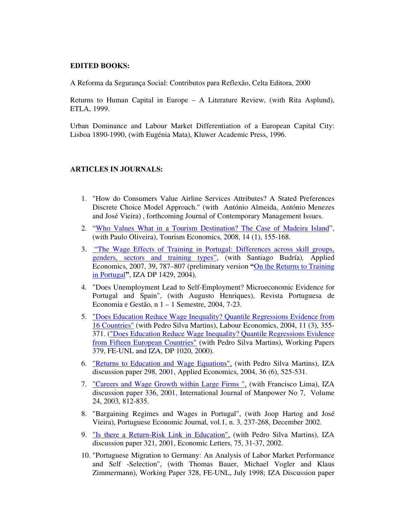# EDITED BOOKS:

A Reforma da Segurança Social: Contributos para Reflexão, Celta Editora, 2000

Returns to Human Capital in Europe – A Literature Review, (with Rita Asplund), ETLA, 1999.

Urban Dominance and Labour Market Differentiation of a European Capital City: Lisboa 1890-1990, (with Eugénia Mata), Kluwer Academic Press, 1996.

### ARTICLES IN JOURNALS:

- 1. "How do Consumers Value Airline Services Attributes? A Stated Preferences Discrete Choice Model Approach." (with António Almeida, António Menezes and José Vieira) , forthcoming Journal of Contemporary Management Issues.
- 2. "Who Values What in a Tourism Destination? The Case of Madeira Island", (with Paulo Oliveira), Tourism Economics, 2008, 14 (1), 155-168.
- 3. "The Wage Effects of Training in Portugal: Differences across skill groups, genders, sectors and training types", (with Santiago Budría), Applied Economics, 2007, 39, 787–807 (preliminary version "On the Returns to Training in Portugal", IZA DP 1429, 2004).
- 4. "Does Unemployment Lead to Self-Employment? Microeconomic Evidence for Portugal and Spain", (with Augusto Henriques), Revista Portuguesa de Economia e Gestão, n 1 – 1 Semestre, 2004, 7-23.
- 5. "Does Education Reduce Wage Inequality? Quantile Regressions Evidence from 16 Countries" (with Pedro Silva Martins), Labour Economics, 2004, 11 (3), 355- 371. ("Does Education Reduce Wage Inequality? Quantile Regressions Evidence from Fifteen European Countries" (with Pedro Silva Martins), Working Papers 379, FE-UNL and IZA, DP 1020, 2000).
- 6. "Returns to Education and Wage Equations", (with Pedro Silva Martins), IZA discussion paper 298, 2001, Applied Economics, 2004, 36 (6), 525-531.
- 7. "Careers and Wage Growth within Large Firms ", (with Francisco Lima), IZA discussion paper 336, 2001, International Journal of Manpower No 7, Volume 24, 2003, 812-835.
- 8. "Bargaining Regimes and Wages in Portugal", (with Joop Hartog and José Vieira), Portuguese Economic Journal, vol.1, n. 3, 237-268, December 2002.
- 9. "Is there a Return-Risk Link in Education", (with Pedro Silva Martins), IZA discussion paper 321, 2001, Economic Letters, 75, 31-37, 2002.
- 10. "Portuguese Migration to Germany: An Analysis of Labor Market Performance and Self -Selection", (with Thomas Bauer, Michael Vogler and Klaus Zimmermann), Working Paper 328, FE-UNL, July 1998; IZA Discussion paper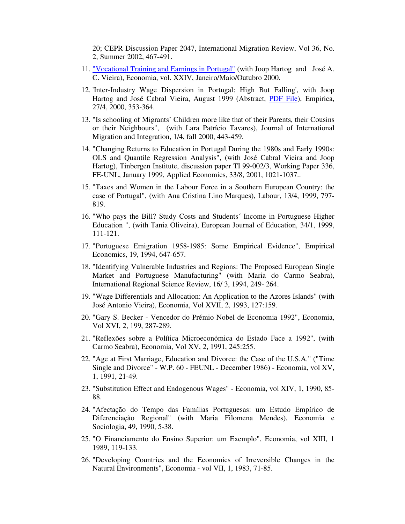20; CEPR Discussion Paper 2047, International Migration Review, Vol 36, No. 2, Summer 2002, 467-491.

- 11. "Vocational Training and Earnings in Portugal" (with Joop Hartog and José A. C. Vieira), Economia, vol. XXIV, Janeiro/Maio/Outubro 2000.
- 12. 'Inter-Industry Wage Dispersion in Portugal: High But Falling', with Joop Hartog and José Cabral Vieira, August 1999 (Abstract, PDF File), Empirica, 27/4, 2000, 353-364.
- 13. "Is schooling of Migrants' Children more like that of their Parents, their Cousins or their Neighbours", (with Lara Patrício Tavares), Journal of International Migration and Integration, 1/4, fall 2000, 443-459.
- 14. "Changing Returns to Education in Portugal During the 1980s and Early 1990s: OLS and Quantile Regression Analysis", (with José Cabral Vieira and Joop Hartog), Tinbergen Institute, discussion paper TI 99-002/3, Working Paper 336, FE-UNL, January 1999, Applied Economics, 33/8, 2001, 1021-1037..
- 15. "Taxes and Women in the Labour Force in a Southern European Country: the case of Portugal", (with Ana Cristina Lino Marques), Labour, 13/4, 1999, 797- 819.
- 16. "Who pays the Bill? Study Costs and Students´ Income in Portuguese Higher Education ", (with Tania Oliveira), European Journal of Education, 34/1, 1999, 111-121.
- 17. "Portuguese Emigration 1958-1985: Some Empirical Evidence", Empirical Economics, 19, 1994, 647-657.
- 18. "Identifying Vulnerable Industries and Regions: The Proposed European Single Market and Portuguese Manufacturing" (with Maria do Carmo Seabra), International Regional Science Review, 16/ 3, 1994, 249- 264.
- 19. "Wage Differentials and Allocation: An Application to the Azores Islands" (with José Antonio Vieira), Economia, Vol XVII, 2, 1993, 127:159.
- 20. "Gary S. Becker Vencedor do Prémio Nobel de Economia 1992", Economia, Vol XVI, 2, 199, 287-289.
- 21. "Reflexões sobre a Política Microeconómica do Estado Face a 1992", (with Carmo Seabra), Economia, Vol XV, 2, 1991, 245:255.
- 22. "Age at First Marriage, Education and Divorce: the Case of the U.S.A." ("Time Single and Divorce" - W.P. 60 - FEUNL - December 1986) - Economia, vol XV, 1, 1991, 21-49.
- 23. "Substitution Effect and Endogenous Wages" Economia, vol XIV, 1, 1990, 85- 88.
- 24. "Afectação do Tempo das Famílias Portuguesas: um Estudo Empírico de Diferenciação Regional" (with Maria Filomena Mendes), Economia e Sociologia, 49, 1990, 5-38.
- 25. "O Financiamento do Ensino Superior: um Exemplo", Economia, vol XIII, 1 1989, 119-133.
- 26. "Developing Countries and the Economics of Irreversible Changes in the Natural Environments", Economia - vol VII, 1, 1983, 71-85.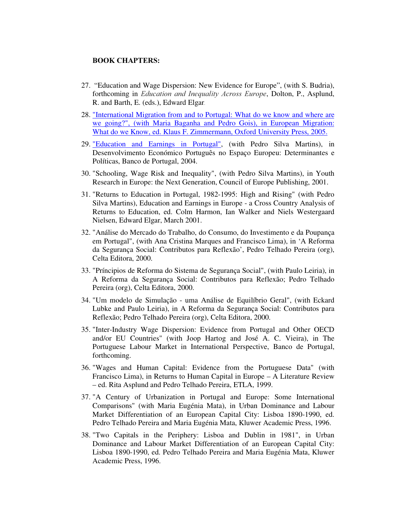#### **BOOK CHAPTERS:**

- 27. " Education and Wage Dispersion: New Evidence for Europe", (with S. Budria), forthcoming in *Education and Inequality Across Europe*, Dolton, P., Asplund, R. and Barth, E. (eds.), Edward Elgar.
- 28. "International Migration from and to Portugal: What do we know and where are we going?", (with Maria Baganha and Pedro Gois), in European Migration: What do we Know, ed. Klaus F. Zimmermann, Oxford University Press, 2005.
- 29. "Education and Earnings in Portugal", (with Pedro Silva Martins), in Desenvolvimento Económico Português no Espaço Europeu: Determinantes e Políticas, Banco de Portugal, 2004.
- 30. "Schooling, Wage Risk and Inequality", (with Pedro Silva Martins), in Youth Research in Europe: the Next Generation, Council of Europe Publishing, 2001.
- 31. "Returns to Education in Portugal, 1982-1995: High and Rising" (with Pedro Silva Martins), Education and Earnings in Europe - a Cross Country Analysis of Returns to Education, ed. Colm Harmon, Ian Walker and Niels Westergaard Nielsen, Edward Elgar, March 2001.
- 32. "Análise do Mercado do Trabalho, do Consumo, do Investimento e da Poupança em Portugal", (with Ana Cristina Marques and Francisco Lima), in 'A Reforma da Segurança Social: Contributos para Reflexão', Pedro Telhado Pereira (org), Celta Editora, 2000.
- 33. "Príncipios de Reforma do Sistema de Segurança Social", (with Paulo Leiria), in A Reforma da Segurança Social: Contributos para Reflexão; Pedro Telhado Pereira (org), Celta Editora, 2000.
- 34. "Um modelo de Simulação uma Análise de Equilíbrio Geral", (with Eckard Lubke and Paulo Leiria), in A Reforma da Segurança Social: Contributos para Reflexão; Pedro Telhado Pereira (org), Celta Editora, 2000.
- 35. "Inter-Industry Wage Dispersion: Evidence from Portugal and Other OECD and/or EU Countries" (with Joop Hartog and José A. C. Vieira), in The Portuguese Labour Market in International Perspective, Banco de Portugal, forthcoming.
- 36. "Wages and Human Capital: Evidence from the Portuguese Data" (with Francisco Lima), in Returns to Human Capital in Europe – A Literature Review – ed. Rita Asplund and Pedro Telhado Pereira, ETLA, 1999.
- 37. "A Century of Urbanization in Portugal and Europe: Some International Comparisons" (with Maria Eugénia Mata), in Urban Dominance and Labour Market Differentiation of an European Capital City: Lisboa 1890-1990, ed. Pedro Telhado Pereira and Maria Eugénia Mata, Kluwer Academic Press, 1996.
- 38. "Two Capitals in the Periphery: Lisboa and Dublin in 1981", in Urban Dominance and Labour Market Differentiation of an European Capital City: Lisboa 1890-1990, ed. Pedro Telhado Pereira and Maria Eugénia Mata, Kluwer Academic Press, 1996.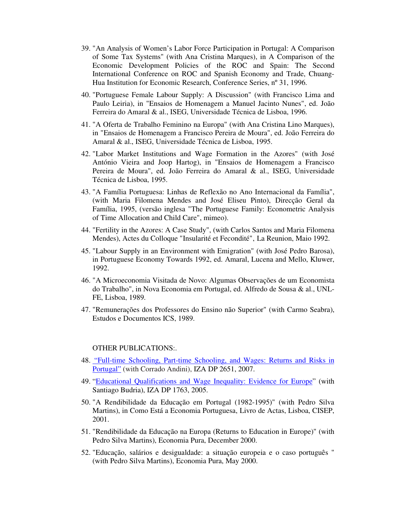- 39. "An Analysis of Women's Labor Force Participation in Portugal: A Comparison of Some Tax Systems" (with Ana Cristina Marques), in A Comparison of the Economic Development Policies of the ROC and Spain: The Second International Conference on ROC and Spanish Economy and Trade, Chuang-Hua Institution for Economic Research, Conference Series, nº 31, 1996.
- 40. "Portuguese Female Labour Supply: A Discussion" (with Francisco Lima and Paulo Leiria), in "Ensaios de Homenagem a Manuel Jacinto Nunes", ed. João Ferreira do Amaral & al., ISEG, Universidade Técnica de Lisboa, 1996.
- 41. "A Oferta de Trabalho Feminino na Europa" (with Ana Cristina Lino Marques), in "Ensaios de Homenagem a Francisco Pereira de Moura", ed. João Ferreira do Amaral & al., ISEG, Universidade Técnica de Lisboa, 1995.
- 42. "Labor Market Institutions and Wage Formation in the Azores" (with José António Vieira and Joop Hartog), in "Ensaios de Homenagem a Francisco Pereira de Moura", ed. João Ferreira do Amaral & al., ISEG, Universidade Técnica de Lisboa, 1995.
- 43. "A Família Portuguesa: Linhas de Reflexão no Ano Internacional da Família", (with Maria Filomena Mendes and José Eliseu Pinto), Direcção Geral da Família, 1995, (versão inglesa "The Portuguese Family: Econometric Analysis of Time Allocation and Child Care", mimeo).
- 44. "Fertility in the Azores: A Case Study", (with Carlos Santos and Maria Filomena Mendes), Actes du Colloque "Insularité et Fecondité", La Reunion, Maio 1992.
- 45. "Labour Supply in an Environment with Emigration" (with José Pedro Barosa), in Portuguese Economy Towards 1992, ed. Amaral, Lucena and Mello, Kluwer, 1992.
- 46. "A Microeconomia Visitada de Novo: Algumas Observações de um Economista do Trabalho", in Nova Economia em Portugal, ed. Alfredo de Sousa & al., UNL-FE, Lisboa, 1989.
- 47. "Remunerações dos Professores do Ensino não Superior" (with Carmo Seabra), Estudos e Documentos ICS, 1989.

#### OTHER PUBLICATIONS:.

- 48. "Full-time Schooling, Part-time Schooling, and Wages: Returns and Risks in Portugal" (with Corrado Andini), IZA DP 2651, 2007.
- 49. "Educational Qualifications and Wage Inequality: Evidence for Europe" (with Santiago Budria), IZA DP 1763, 2005.
- 50. "A Rendibilidade da Educação em Portugal (1982-1995)" (with Pedro Silva Martins), in Como Está a Economia Portuguesa, Livro de Actas, Lisboa, CISEP, 2001.
- 51. "Rendibilidade da Educação na Europa (Returns to Education in Europe)" (with Pedro Silva Martins), Economia Pura, December 2000.
- 52. "Educação, salários e desigualdade: a situação europeia e o caso português " (with Pedro Silva Martins), Economia Pura, May 2000.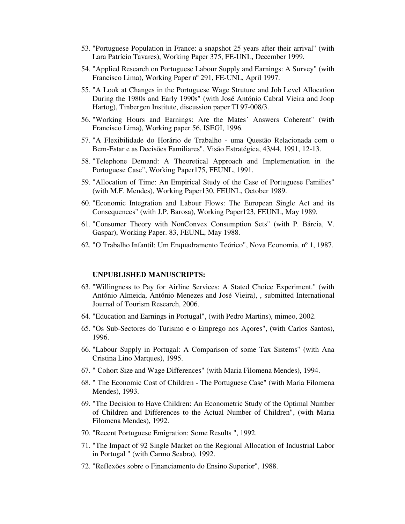- 53. "Portuguese Population in France: a snapshot 25 years after their arrival" (with Lara Patrício Tavares), Working Paper 375, FE-UNL, December 1999.
- 54. "Applied Research on Portuguese Labour Supply and Earnings: A Survey" (with Francisco Lima), Working Paper nº 291, FE-UNL, April 1997.
- 55. "A Look at Changes in the Portuguese Wage Struture and Job Level Allocation During the 1980s and Early 1990s" (with José António Cabral Vieira and Joop Hartog), Tinbergen Institute, discussion paper TI 97-008/3.
- 56. "Working Hours and Earnings: Are the Mates´ Answers Coherent" (with Francisco Lima), Working paper 56, ISEGI, 1996.
- 57. "A Flexibilidade do Horário de Trabalho uma Questão Relacionada com o Bem-Estar e as Decisões Familiares", Visão Estratégica, 43/44, 1991, 12-13.
- 58. "Telephone Demand: A Theoretical Approach and Implementation in the Portuguese Case", Working Paper175, FEUNL, 1991.
- 59. "Allocation of Time: An Empirical Study of the Case of Portuguese Families" (with M.F. Mendes), Working Paper130, FEUNL, October 1989.
- 60. "Economic Integration and Labour Flows: The European Single Act and its Consequences" (with J.P. Barosa), Working Paper123, FEUNL, May 1989.
- 61. "Consumer Theory with NonConvex Consumption Sets" (with P. Bárcia, V. Gaspar), Working Paper. 83, FEUNL, May 1988.
- 62. "O Trabalho Infantil: Um Enquadramento Teórico", Nova Economia, nº1, 1987.

#### UNPUBLISHED MANUSCRIPTS:

- 63. "Willingness to Pay for Airline Services: A Stated Choice Experiment." (with António Almeida, António Menezes and José Vieira), , submitted International Journal of Tourism Research, 2006.
- 64. "Education and Earnings in Portugal", (with Pedro Martins), mimeo, 2002.
- 65. "Os Sub-Sectores do Turismo e o Emprego nos Açores", (with Carlos Santos), 1996.
- 66. "Labour Supply in Portugal: A Comparison of some Tax Sistems" (with Ana Cristina Lino Marques), 1995.
- 67. " Cohort Size and Wage Differences" (with Maria Filomena Mendes), 1994.
- 68. " The Economic Cost of Children The Portuguese Case" (with Maria Filomena Mendes), 1993.
- 69. "The Decision to Have Children: An Econometric Study of the Optimal Number of Children and Differences to the Actual Number of Children", (with Maria Filomena Mendes), 1992.
- 70. "Recent Portuguese Emigration: Some Results ", 1992.
- 71. "The Impact of 92 Single Market on the Regional Allocation of Industrial Labor in Portugal " (with Carmo Seabra), 1992.
- 72. "Reflexões sobre o Financiamento do Ensino Superior", 1988.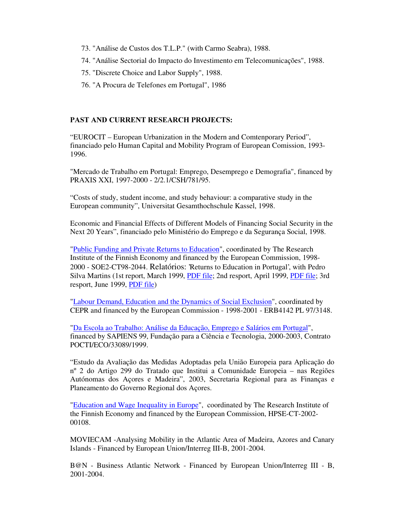- 73. "Análise de Custos dos T.L.P." (with Carmo Seabra), 1988.
- 74. "Análise Sectorial do Impacto do Investimento em Telecomunicações", 1988.
- 75. "Discrete Choice and Labor Supply", 1988.
- 76. "A Procura de Telefones em Portugal", 1986

#### PAST AND CURRENT RESEARCH PROJECTS:

" EUROCIT – European Urbanization in the Modern and Comtenporary Period", financiado pelo Human Capital and Mobility Program of European Comission, 1993- 1996.

"Mercado de Trabalho em Portugal: Emprego, Desemprego e Demografia", financed by PRAXIS XXI, 1997-2000 - 2/2.1/CSH/781/95.

" Costs of study, student income, and study behaviour: a comparative study in the European community", Universitat Gesamthochschule Kassel, 1998.

Economic and Financial Effects of Different Models of Financing Social Security in the Next 20 Years", financiado pelo Ministério do Emprego e da Segurança Social, 1998.

"Public Funding and Private Returns to Education", coordinated by The Research Institute of the Finnish Economy and financed by the European Commission, 1998- 2000 - SOE2-CT98-2044. Relatórios: 'Returns to Education in Portugal', with Pedro Silva Martins (1st report, March 1999, PDF file; 2nd resport, April 1999, PDF file; 3rd resport, June 1999, PDF file)

"Labour Demand, Education and the Dynamics of Social Exclusion", coordinated by CEPR and financed by the European Commission - 1998-2001 - ERB4142 PL 97/3148.

"Da Escola ao Trabalho: Análise da Educação, Emprego e Salários em Portugal", financed by SAPIENS 99, Fundação para a Ciência e Tecnologia, 2000-2003, Contrato POCTI/ECO/33089/1999.

" Estudo da Avaliação das Medidas Adoptadas pela União Europeia para Aplicação do nº 2 do Artigo 299 do Tratado que Institui a Comunidade Europeia – nas Regiões Autónomas dos Açores e Madeira", 2003, Secretaria Regional para as Finanças e Planeamento do Governo Regional dos Açores.

"Education and Wage Inequality in Europe", coordinated by The Research Institute of the Finnish Economy and financed by the European Commission, HPSE-CT-2002- 00108.

MOVIECAM -Analysing Mobility in the Atlantic Area of Madeira, Azores and Canary Islands - Financed by European Union/Interreg III-B, 2001-2004.

B@N - Business Atlantic Network - Financed by European Union/Interreg III - B, 2001-2004.